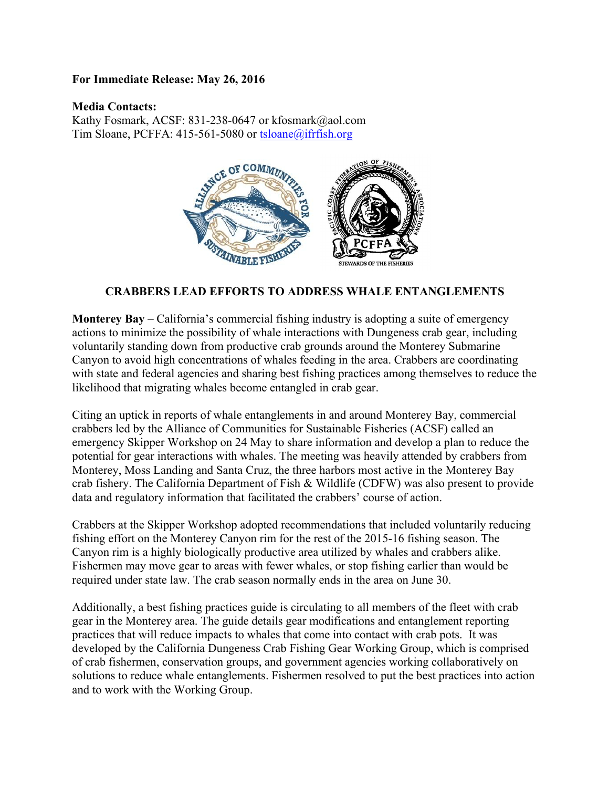## **For Immediate Release: May 26, 2016**

## **Media Contacts:**

Kathy Fosmark, ACSF: 831-238-0647 or kfosmark@aol.com Tim Sloane, PCFFA:  $415-561-5080$  or tsloane@ifrfish.org



## **CRABBERS LEAD EFFORTS TO ADDRESS WHALE ENTANGLEMENTS**

**Monterey Bay** – California's commercial fishing industry is adopting a suite of emergency actions to minimize the possibility of whale interactions with Dungeness crab gear, including voluntarily standing down from productive crab grounds around the Monterey Submarine Canyon to avoid high concentrations of whales feeding in the area. Crabbers are coordinating with state and federal agencies and sharing best fishing practices among themselves to reduce the likelihood that migrating whales become entangled in crab gear.

Citing an uptick in reports of whale entanglements in and around Monterey Bay, commercial crabbers led by the Alliance of Communities for Sustainable Fisheries (ACSF) called an emergency Skipper Workshop on 24 May to share information and develop a plan to reduce the potential for gear interactions with whales. The meeting was heavily attended by crabbers from Monterey, Moss Landing and Santa Cruz, the three harbors most active in the Monterey Bay crab fishery. The California Department of Fish & Wildlife (CDFW) was also present to provide data and regulatory information that facilitated the crabbers' course of action.

Crabbers at the Skipper Workshop adopted recommendations that included voluntarily reducing fishing effort on the Monterey Canyon rim for the rest of the 2015-16 fishing season. The Canyon rim is a highly biologically productive area utilized by whales and crabbers alike. Fishermen may move gear to areas with fewer whales, or stop fishing earlier than would be required under state law. The crab season normally ends in the area on June 30.

Additionally, a best fishing practices guide is circulating to all members of the fleet with crab gear in the Monterey area. The guide details gear modifications and entanglement reporting practices that will reduce impacts to whales that come into contact with crab pots. It was developed by the California Dungeness Crab Fishing Gear Working Group, which is comprised of crab fishermen, conservation groups, and government agencies working collaboratively on solutions to reduce whale entanglements. Fishermen resolved to put the best practices into action and to work with the Working Group.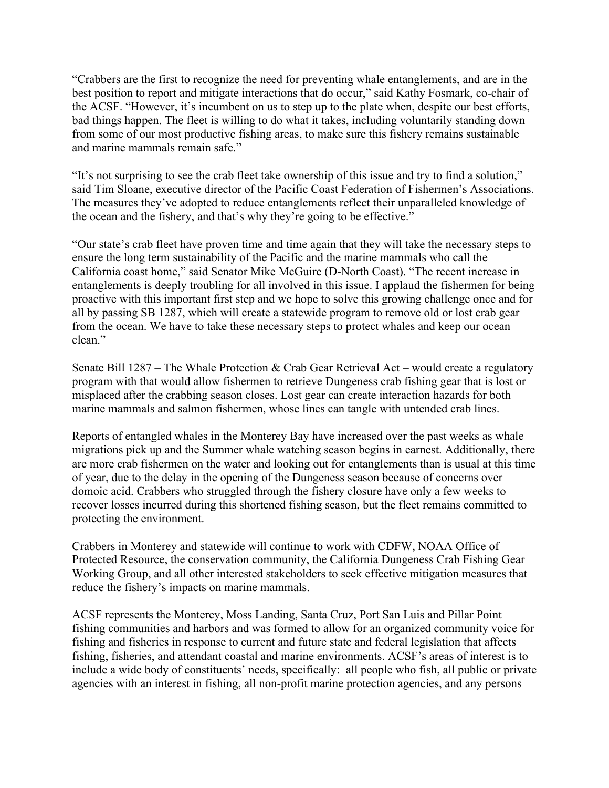"Crabbers are the first to recognize the need for preventing whale entanglements, and are in the best position to report and mitigate interactions that do occur," said Kathy Fosmark, co-chair of the ACSF. "However, it's incumbent on us to step up to the plate when, despite our best efforts, bad things happen. The fleet is willing to do what it takes, including voluntarily standing down from some of our most productive fishing areas, to make sure this fishery remains sustainable and marine mammals remain safe."

"It's not surprising to see the crab fleet take ownership of this issue and try to find a solution," said Tim Sloane, executive director of the Pacific Coast Federation of Fishermen's Associations. The measures they've adopted to reduce entanglements reflect their unparalleled knowledge of the ocean and the fishery, and that's why they're going to be effective."

"Our state's crab fleet have proven time and time again that they will take the necessary steps to ensure the long term sustainability of the Pacific and the marine mammals who call the California coast home," said Senator Mike McGuire (D-North Coast). "The recent increase in entanglements is deeply troubling for all involved in this issue. I applaud the fishermen for being proactive with this important first step and we hope to solve this growing challenge once and for all by passing SB 1287, which will create a statewide program to remove old or lost crab gear from the ocean. We have to take these necessary steps to protect whales and keep our ocean clean."

Senate Bill  $1287 -$ The Whale Protection & Crab Gear Retrieval Act – would create a regulatory program with that would allow fishermen to retrieve Dungeness crab fishing gear that is lost or misplaced after the crabbing season closes. Lost gear can create interaction hazards for both marine mammals and salmon fishermen, whose lines can tangle with untended crab lines.

Reports of entangled whales in the Monterey Bay have increased over the past weeks as whale migrations pick up and the Summer whale watching season begins in earnest. Additionally, there are more crab fishermen on the water and looking out for entanglements than is usual at this time of year, due to the delay in the opening of the Dungeness season because of concerns over domoic acid. Crabbers who struggled through the fishery closure have only a few weeks to recover losses incurred during this shortened fishing season, but the fleet remains committed to protecting the environment.

Crabbers in Monterey and statewide will continue to work with CDFW, NOAA Office of Protected Resource, the conservation community, the California Dungeness Crab Fishing Gear Working Group, and all other interested stakeholders to seek effective mitigation measures that reduce the fishery's impacts on marine mammals.

ACSF represents the Monterey, Moss Landing, Santa Cruz, Port San Luis and Pillar Point fishing communities and harbors and was formed to allow for an organized community voice for fishing and fisheries in response to current and future state and federal legislation that affects fishing, fisheries, and attendant coastal and marine environments. ACSF's areas of interest is to include a wide body of constituents' needs, specifically: all people who fish, all public or private agencies with an interest in fishing, all non-profit marine protection agencies, and any persons